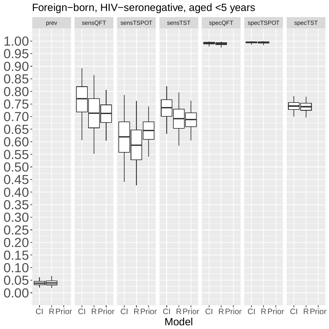## Foreign−born, HIV−seronegative, aged <5 years

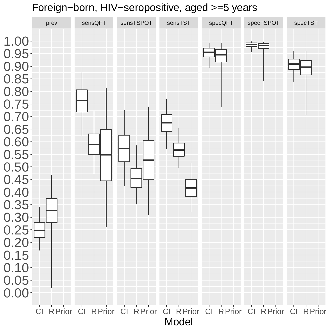## Foreign−born, HIV−seropositive, aged >=5 years

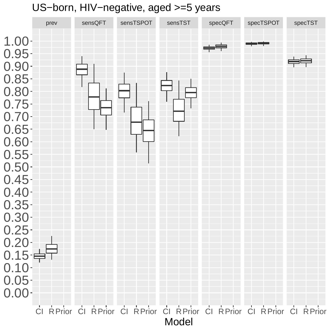## US−born, HIV−negative, aged >=5 years